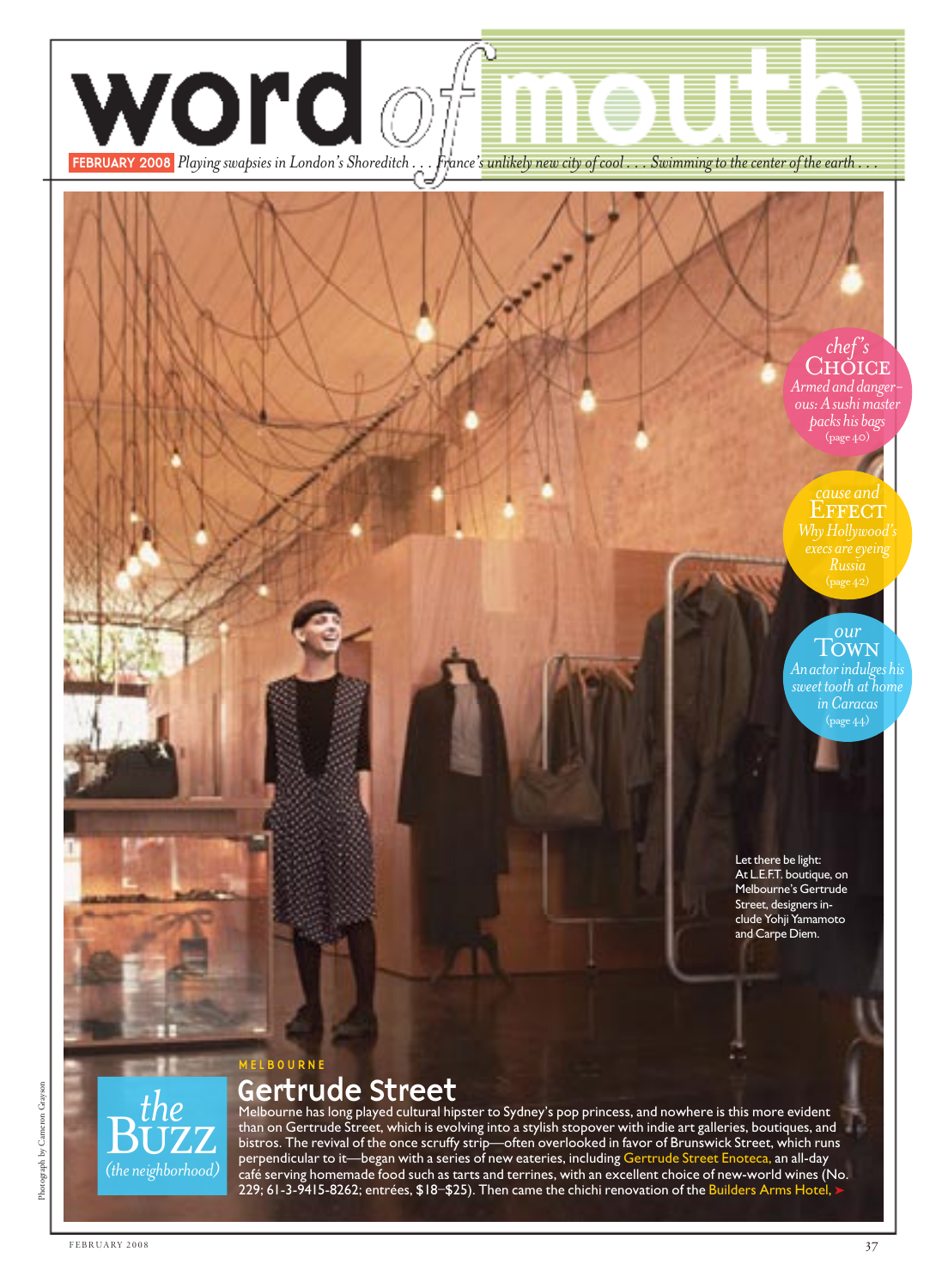

## Gertrude Street

Melbourne has long played cultural hipster to Sydney's pop princess, and nowhere is this more evident than on Gertrude Street, which is evolving into a stylish stopover with indie art galleries, boutiques, and bistros. The revival of the once scruffy strip—often overlooked in favor of Brunswick Street, which runs perpendicular to it—began with a series of new eateries, including Gertrude Street Enoteca, an all-day café serving homemade food such as tarts and terrines, with an excellent choice of new-world wines (No. 229; 61-3-9415-8262; entrées, \$18–\$25). Then came the chichi renovation of the <mark>Build</mark>ers Arms Hotel,  $\blacktriangleright$